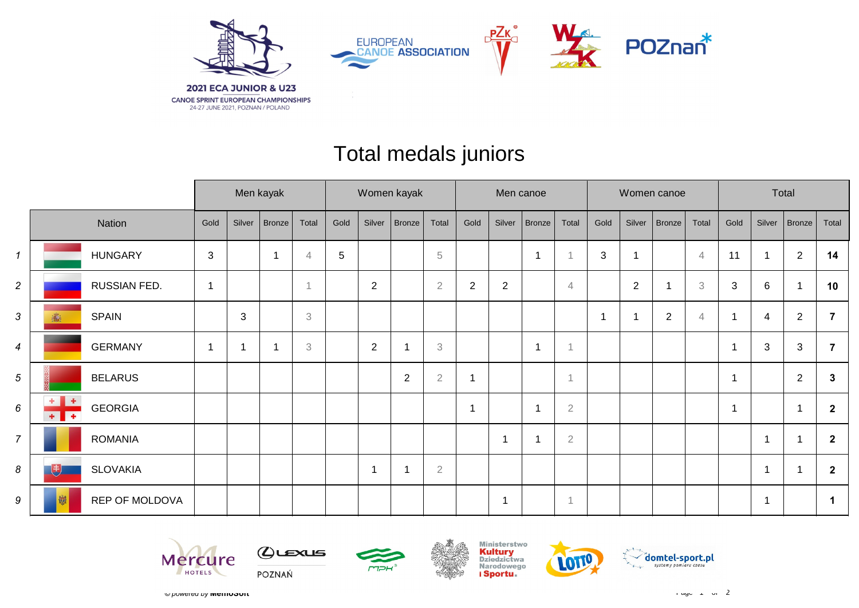

## Total medals juniors

|                |                                                   |                |              | Men kayak                |                | Women kayak |             |                |                | Men canoe  |                |                         |                |                          |        | Women canoe |                | Total          |                           |                |                         |
|----------------|---------------------------------------------------|----------------|--------------|--------------------------|----------------|-------------|-------------|----------------|----------------|------------|----------------|-------------------------|----------------|--------------------------|--------|-------------|----------------|----------------|---------------------------|----------------|-------------------------|
|                | Nation                                            | Gold           | Silver       | Bronze                   | Total          | Gold        | Silver      | Bronze         | Total          | Gold       | Silver         | Bronze                  | Total          | Gold                     | Silver | Bronze      | Total          | Gold           | Silver                    | $ $ Bronze $ $ | Total                   |
| $\mathbf{1}$   | <b>HUNGARY</b>                                    | $\sqrt{3}$     |              | $\overline{\phantom{a}}$ | $\overline{4}$ | $\sqrt{5}$  |             |                | $\sqrt{5}$     |            |                | $\overline{\mathbf{1}}$ | и              | $\mathbf{3}$             |        |             | $\overline{4}$ | 11             |                           | $\overline{2}$ | 14                      |
| $\overline{c}$ | RUSSIAN FED.                                      | $\mathbf 1$    |              |                          | $\overline{A}$ |             | $\sqrt{2}$  |                | $\overline{2}$ | $\sqrt{2}$ | $\overline{c}$ |                         | $\overline{4}$ |                          | 2      | -1          | 3              | 3              | 6                         |                | 10                      |
| 3              | <b>SPAIN</b>                                      |                | $\mathbf{3}$ |                          | $\,3$          |             |             |                |                |            |                |                         |                | $\overline{\phantom{a}}$ |        | $\sqrt{2}$  | $\overline{4}$ | $\overline{1}$ | 4                         | $\overline{2}$ | 7                       |
| 4              | <b>GERMANY</b>                                    | $\overline{1}$ |              | -1                       | 3              |             | $\sqrt{2}$  |                | 3              |            |                | $\overline{1}$          | -1             |                          |        |             |                | $\overline{1}$ | $\ensuremath{\mathsf{3}}$ | $\mathbf{3}$   | $\overline{7}$          |
| 5              | <b>BELARUS</b>                                    |                |              |                          |                |             |             | $\overline{2}$ | $\overline{2}$ | 1          |                |                         | 1              |                          |        |             |                | 1              |                           | $\overline{2}$ | 3                       |
| 6              | $+ +$<br><b>GEORGIA</b><br>$\overline{+}$<br>$+1$ |                |              |                          |                |             |             |                |                | 1          |                |                         | $\sqrt{2}$     |                          |        |             |                | $\overline{1}$ |                           | $\mathbf 1$    | $\overline{\mathbf{2}}$ |
| $\overline{7}$ | <b>ROMANIA</b>                                    |                |              |                          |                |             |             |                |                |            | 1              | $\overline{1}$          | $\sqrt{2}$     |                          |        |             |                |                | -1                        |                | $\overline{2}$          |
| 8              | <b>SLOVAKIA</b><br>(书)                            |                |              |                          |                |             | $\mathbf 1$ |                | $\overline{2}$ |            |                |                         |                |                          |        |             |                |                | ۰                         |                | $\overline{2}$          |
| 9              | REP OF MOLDOVA<br>劌                               |                |              |                          |                |             |             |                |                |            | -1             |                         | 1              |                          |        |             |                |                | -1                        |                |                         |